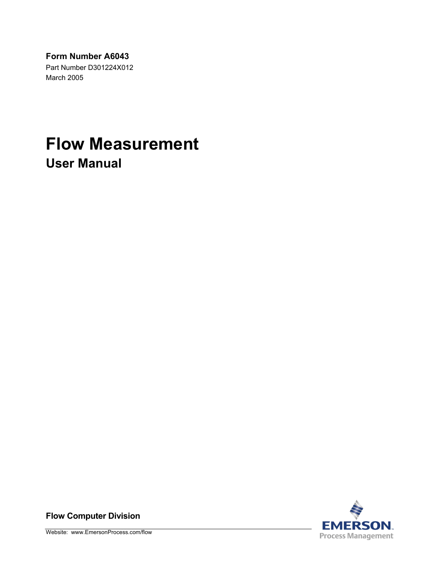**Form Number A6043** 

Part Number D301224X012 March 2005

# **Flow Measurement User Manual**



**Flow Computer Division**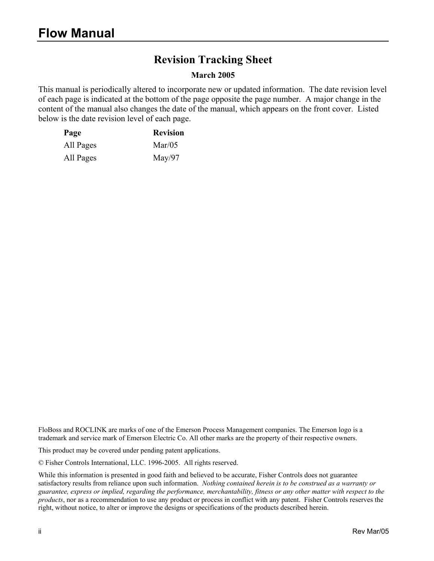# **Revision Tracking Sheet**

#### **March 2005**

This manual is periodically altered to incorporate new or updated information. The date revision level of each page is indicated at the bottom of the page opposite the page number. A major change in the content of the manual also changes the date of the manual, which appears on the front cover. Listed below is the date revision level of each page.

| Page      | <b>Revision</b> |
|-----------|-----------------|
| All Pages | $\text{Mar}/05$ |
| All Pages | May/97          |

FloBoss and ROCLINK are marks of one of the Emerson Process Management companies. The Emerson logo is a trademark and service mark of Emerson Electric Co. All other marks are the property of their respective owners.

This product may be covered under pending patent applications.

© Fisher Controls International, LLC. 1996-2005. All rights reserved.

While this information is presented in good faith and believed to be accurate, Fisher Controls does not guarantee satisfactory results from reliance upon such information. *Nothing contained herein is to be construed as a warranty or guarantee, express or implied, regarding the performance, merchantability, fitness or any other matter with respect to the products*, nor as a recommendation to use any product or process in conflict with any patent. Fisher Controls reserves the right, without notice, to alter or improve the designs or specifications of the products described herein.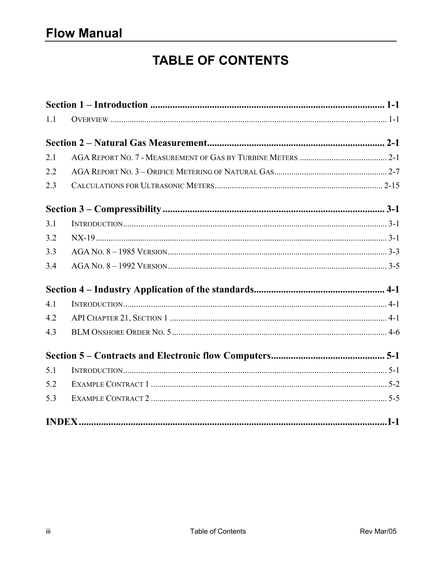# **TABLE OF CONTENTS**

| 1.1 |  |  |
|-----|--|--|
|     |  |  |
| 2.1 |  |  |
| 2.2 |  |  |
| 2.3 |  |  |
|     |  |  |
| 3.1 |  |  |
| 3.2 |  |  |
| 3.3 |  |  |
| 3.4 |  |  |
|     |  |  |
| 4.1 |  |  |
| 4.2 |  |  |
| 4.3 |  |  |
|     |  |  |
| 5.1 |  |  |
| 5.2 |  |  |
| 5.3 |  |  |
|     |  |  |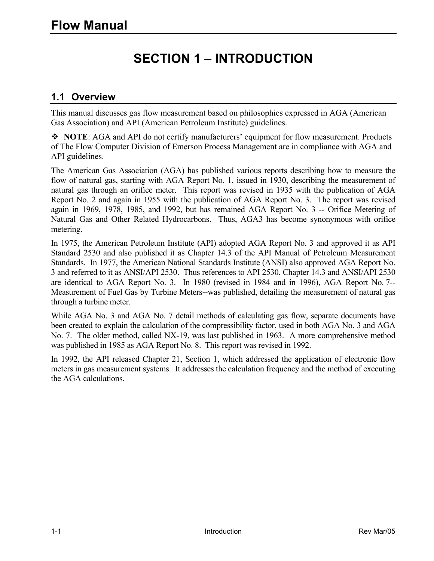# **SECTION 1 – INTRODUCTION**

#### **1.1 Overview**

This manual discusses gas flow measurement based on philosophies expressed in AGA (American Gas Association) and API (American Petroleum Institute) guidelines.

 **NOTE**: AGA and API do not certify manufacturers' equipment for flow measurement. Products of The Flow Computer Division of Emerson Process Management are in compliance with AGA and API guidelines.

The American Gas Association (AGA) has published various reports describing how to measure the flow of natural gas, starting with AGA Report No. 1, issued in 1930, describing the measurement of natural gas through an orifice meter. This report was revised in 1935 with the publication of AGA Report No. 2 and again in 1955 with the publication of AGA Report No. 3. The report was revised again in 1969, 1978, 1985, and 1992, but has remained AGA Report No. 3 -- Orifice Metering of Natural Gas and Other Related Hydrocarbons. Thus, AGA3 has become synonymous with orifice metering.

In 1975, the American Petroleum Institute (API) adopted AGA Report No. 3 and approved it as API Standard 2530 and also published it as Chapter 14.3 of the API Manual of Petroleum Measurement Standards. In 1977, the American National Standards Institute (ANSI) also approved AGA Report No. 3 and referred to it as ANSI/API 2530. Thus references to API 2530, Chapter 14.3 and ANSI/API 2530 are identical to AGA Report No. 3. In 1980 (revised in 1984 and in 1996), AGA Report No. 7-- Measurement of Fuel Gas by Turbine Meters--was published, detailing the measurement of natural gas through a turbine meter.

While AGA No. 3 and AGA No. 7 detail methods of calculating gas flow, separate documents have been created to explain the calculation of the compressibility factor, used in both AGA No. 3 and AGA No. 7. The older method, called NX-19, was last published in 1963. A more comprehensive method was published in 1985 as AGA Report No. 8. This report was revised in 1992.

In 1992, the API released Chapter 21, Section 1, which addressed the application of electronic flow meters in gas measurement systems. It addresses the calculation frequency and the method of executing the AGA calculations.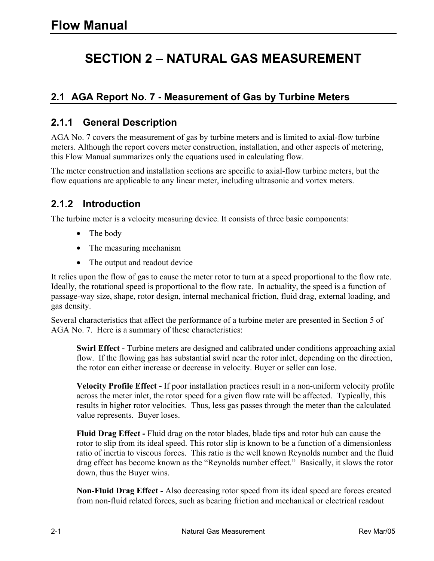# **SECTION 2 – NATURAL GAS MEASUREMENT**

# **2.1 AGA Report No. 7 - Measurement of Gas by Turbine Meters**

#### **2.1.1 General Description**

AGA No. 7 covers the measurement of gas by turbine meters and is limited to axial-flow turbine meters. Although the report covers meter construction, installation, and other aspects of metering, this Flow Manual summarizes only the equations used in calculating flow.

The meter construction and installation sections are specific to axial-flow turbine meters, but the flow equations are applicable to any linear meter, including ultrasonic and vortex meters.

#### **2.1.2 Introduction**

The turbine meter is a velocity measuring device. It consists of three basic components:

- The body
- The measuring mechanism
- The output and readout device

It relies upon the flow of gas to cause the meter rotor to turn at a speed proportional to the flow rate. Ideally, the rotational speed is proportional to the flow rate. In actuality, the speed is a function of passage-way size, shape, rotor design, internal mechanical friction, fluid drag, external loading, and gas density.

Several characteristics that affect the performance of a turbine meter are presented in Section 5 of AGA No. 7. Here is a summary of these characteristics:

**Swirl Effect -** Turbine meters are designed and calibrated under conditions approaching axial flow. If the flowing gas has substantial swirl near the rotor inlet, depending on the direction, the rotor can either increase or decrease in velocity. Buyer or seller can lose.

**Velocity Profile Effect -** If poor installation practices result in a non-uniform velocity profile across the meter inlet, the rotor speed for a given flow rate will be affected. Typically, this results in higher rotor velocities. Thus, less gas passes through the meter than the calculated value represents. Buyer loses.

**Fluid Drag Effect -** Fluid drag on the rotor blades, blade tips and rotor hub can cause the rotor to slip from its ideal speed. This rotor slip is known to be a function of a dimensionless ratio of inertia to viscous forces. This ratio is the well known Reynolds number and the fluid drag effect has become known as the "Reynolds number effect." Basically, it slows the rotor down, thus the Buyer wins.

**Non-Fluid Drag Effect -** Also decreasing rotor speed from its ideal speed are forces created from non-fluid related forces, such as bearing friction and mechanical or electrical readout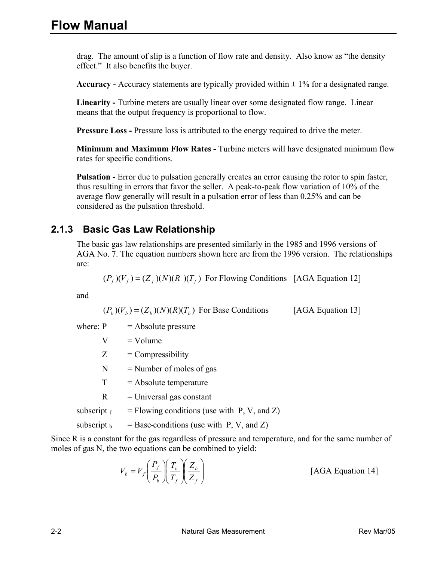drag. The amount of slip is a function of flow rate and density. Also know as "the density effect." It also benefits the buyer.

**Accuracy -** Accuracy statements are typically provided within  $\pm$  1% for a designated range.

**Linearity -** Turbine meters are usually linear over some designated flow range. Linear means that the output frequency is proportional to flow.

**Pressure Loss -** Pressure loss is attributed to the energy required to drive the meter.

 **Minimum and Maximum Flow Rates -** Turbine meters will have designated minimum flow rates for specific conditions.

**Pulsation -** Error due to pulsation generally creates an error causing the rotor to spin faster, thus resulting in errors that favor the seller. A peak-to-peak flow variation of 10% of the average flow generally will result in a pulsation error of less than 0.25% and can be considered as the pulsation threshold.

#### **2.1.3 Basic Gas Law Relationship**

The basic gas law relationships are presented similarly in the 1985 and 1996 versions of AGA No. 7. The equation numbers shown here are from the 1996 version. The relationships are:

 $(P_f)(V_f) = (Z_f)(N)(R)(T_f)$  For Flowing Conditions [AGA Equation 12]

and

 $(P_b)(V_b) = (Z_b)(N)(R)(T_b)$  For Base Conditions [AGA Equation 13]

- where:  $P =$  Absolute pressure
	- $V = Volume$
	- $Z =$  Compressibility
	- $N =$  Number of moles of gas
	- $T =$ Absolute temperature
	- $R =$  Universal gas constant
- subscript  $f = Flowing conditions$  (use with P, V, and Z)
- subscript  $\beta$  = Base-conditions (use with P, V, and Z)

Since R is a constant for the gas regardless of pressure and temperature, and for the same number of moles of gas N, the two equations can be combined to yield:

$$
V_b = V_f \left(\frac{P_f}{P_b}\right) \left(\frac{T_b}{T_f}\right) \left(\frac{Z_b}{Z_f}\right)
$$
 [AGA Equation 14]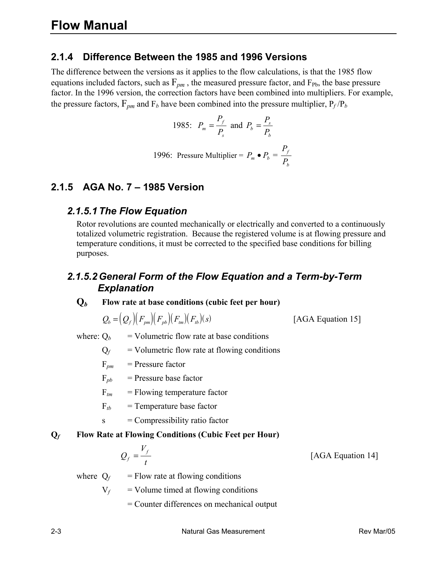#### **2.1.4 Difference Between the 1985 and 1996 Versions**

The difference between the versions as it applies to the flow calculations, is that the 1985 flow equations included factors, such as  $F_{pm}$ , the measured pressure factor, and  $F_{Pb}$ , the base pressure factor. In the 1996 version, the correction factors have been combined into multipliers. For example, the pressure factors,  $F_{pm}$  and  $F_b$  have been combined into the pressure multiplier,  $P_f/P_b$ 

1985: 
$$
P_m = \frac{P_f}{P_s}
$$
 and  $P_b = \frac{P_s}{P_b}$ 

1996: Pressure Multiplier = 
$$
P_m \bullet P_b = \frac{P_f}{P_b}
$$

#### **2.1.5 AGA No. 7 – 1985 Version**

#### *2.1.5.1 The Flow Equation*

Rotor revolutions are counted mechanically or electrically and converted to a continuously totalized volumetric registration. Because the registered volume is at flowing pressure and temperature conditions, it must be corrected to the specified base conditions for billing purposes.

#### *2.1.5.2 General Form of the Flow Equation and a Term-by-Term Explanation*

#### **Q***b* **Flow rate at base conditions (cubic feet per hour)**

$$
Q_b = (Q_f)(F_{pm})(F_{mb})(F_{tm})(F_b)(s)
$$
 [AGA Equation 15]

where:  $Q_b$  = Volumetric flow rate at base conditions

 $Q_f$  = Volumetric flow rate at flowing conditions

 $F_{pm}$  = Pressure factor

$$
F_{pb} = \text{Pressure base factor}
$$

- $F_{tm}$  = Flowing temperature factor
- $F_{tb}$  = Temperature base factor
- $s =$  Compressibility ratio factor

#### **Q***f* **Flow Rate at Flowing Conditions (Cubic Feet per Hour)**

$$
Q_f = \frac{V_f}{t}
$$

where  $Q_f$  = Flow rate at flowing conditions

 $V_f$  = Volume timed at flowing conditions

= Counter differences on mechanical output

[AGA Equation 14]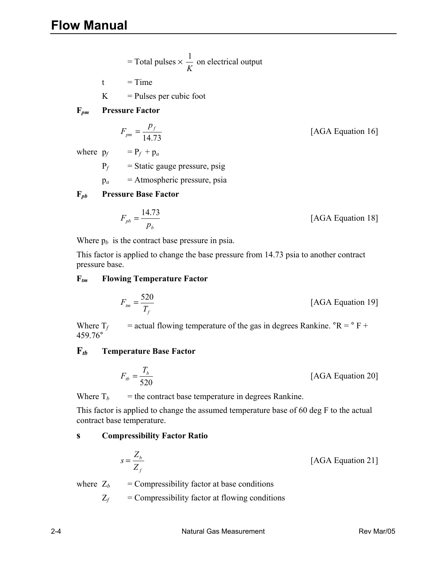= Total pulses 
$$
\times \frac{1}{K}
$$
 on electrical output

$$
t = Time
$$

 $K =$  Pulses per cubic foot

$$
F_{pm}
$$
 **Pressure Factor**

$$
F_{pm} = \frac{p_f}{14.73}
$$
 [AGA Equation 16]

where  $p_f = P_f + p_a$ 

 $P_f$  = Static gauge pressure, psig

p*a* = Atmospheric pressure, psia

#### **F***pb* **Pressure Base Factor**

$$
F_{pb} = \frac{14.73}{p_b}
$$
 [AGA Equation 18]

Where  $p_b$  is the contract base pressure in psia.

 This factor is applied to change the base pressure from 14.73 psia to another contract pressure base.

#### **F***tm* **Flowing Temperature Factor**

$$
F_{\text{tm}} = \frac{520}{T_f}
$$
 [AGA Equation 19]

Where  $T_f$  = actual flowing temperature of the gas in degrees Rankine.  ${}^{\circ}R = {}^{\circ}F +$ 459.76°

#### **F***tb* **Temperature Base Factor**

$$
F_{tb} = \frac{T_b}{520}
$$
 [AGA Equation 20]

Where  $T_b$  = the contract base temperature in degrees Rankine.

 This factor is applied to change the assumed temperature base of 60 deg F to the actual contract base temperature.

#### **s Compressibility Factor Ratio**

$$
s = \frac{Z_b}{Z_f}
$$
 [AGA Equation 21]

where  $Z_b$  = Compressibility factor at base conditions

 $Z_f$  = Compressibility factor at flowing conditions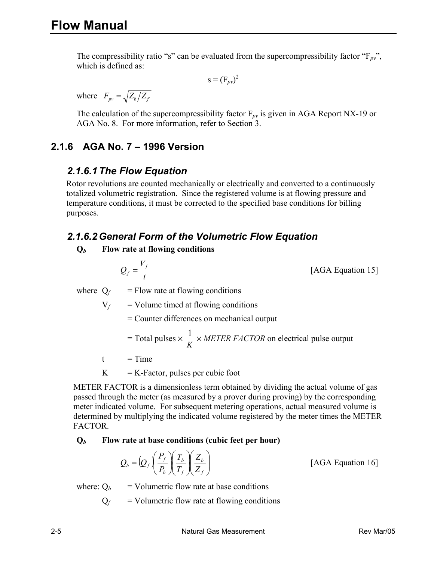The compressibility ratio "s" can be evaluated from the supercompressibility factor " $F_{pv}$ ", which is defined as:

$$
s = (F_{pv})^2
$$

where  $F_{pv} = \sqrt{Z_b/Z_f}$ 

The calculation of the supercompressibility factor  $F_{pv}$  is given in AGA Report NX-19 or AGA No. 8. For more information, refer to Section 3.

### **2.1.6 AGA No. 7 – 1996 Version**

#### *2.1.6.1 The Flow Equation*

Rotor revolutions are counted mechanically or electrically and converted to a continuously totalized volumetric registration. Since the registered volume is at flowing pressure and temperature conditions, it must be corrected to the specified base conditions for billing purposes.

#### *2.1.6.2 General Form of the Volumetric Flow Equation*

#### **Q***b* **Flow rate at flowing conditions**

$$
Q_f = \frac{V_f}{t}
$$

[AGA Equation 15]

where  $Q_f$  = Flow rate at flowing conditions

 $V_f$  = Volume timed at flowing conditions

= Counter differences on mechanical output

= Total pulses 
$$
\times \frac{1}{K} \times METER FACTOR
$$
 on electrical pulse output

 $t = Time$ 

 $K = K-Factor$ , pulses per cubic foot

METER FACTOR is a dimensionless term obtained by dividing the actual volume of gas passed through the meter (as measured by a prover during proving) by the corresponding meter indicated volume. For subsequent metering operations, actual measured volume is determined by multiplying the indicated volume registered by the meter times the METER FACTOR.

#### **Q***b* **Flow rate at base conditions (cubic feet per hour)**

$$
Q_b = \left(Q_f \left(\frac{P_f}{P_b}\right) \left(\frac{T_b}{T_f}\right) \left(\frac{Z_b}{Z_f}\right)\right)
$$
 [AGA Equation 16]

where:  $Q_b$  = Volumetric flow rate at base conditions

 $Q_f$  = Volumetric flow rate at flowing conditions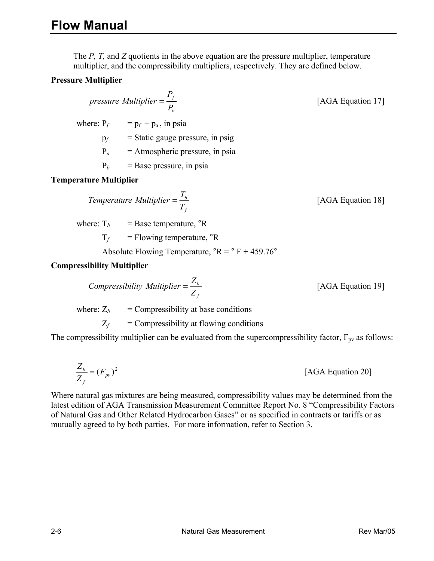The *P, T,* and *Z* quotients in the above equation are the pressure multiplier, temperature multiplier, and the compressibility multipliers, respectively. They are defined below.

#### **Pressure Multiplier**

#### *b f P pressure Multiplier* =  $\frac{P_f}{P}$  [AGA Equation 17]

where:  $P_f$  =  $p_f$  +  $p_a$ , in psia

 $p_f$  = Static gauge pressure, in psig

 $P_a$  = Atmospheric pressure, in psia

 $P_b$  = Base pressure, in psia

#### **Temperature Multiplier**

*f b T Temperature Multiplier* =  $\frac{T_b}{T}$  [AGA Equation 18]

where:  $T_b$  = Base temperature,  ${}^{\circ}R$ 

 $T_f$  = Flowing temperature,  ${}^{\circ}R$ 

Absolute Flowing Temperature,  ${}^{\circ}R = {}^{\circ}F + 459.76{}^{\circ}$ 

#### **Compressibility Multiplier**

*f b Z Z Z*<sub>*b*</sub> *Z Z*<sub>*b*</sub> *Multiplier* =  $\frac{Z_b}{Z}$  [AGA Equation 19]

where:  $Z_b$  = Compressibility at base conditions

 $Z_f$  = Compressibility at flowing conditions

The compressibility multiplier can be evaluated from the supercompressibility factor,  $F_{pv}$  as follows:

$$
\frac{Z_b}{Z_f} = (F_{pv})^2
$$
 [AGA Equation 20]

Where natural gas mixtures are being measured, compressibility values may be determined from the latest edition of AGA Transmission Measurement Committee Report No. 8 "Compressibility Factors of Natural Gas and Other Related Hydrocarbon Gases" or as specified in contracts or tariffs or as mutually agreed to by both parties. For more information, refer to Section 3.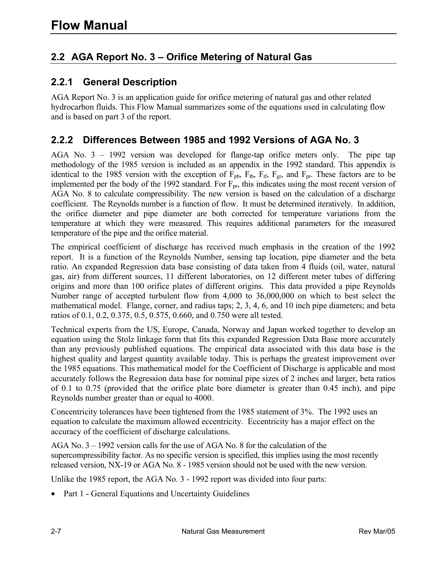# **2.2 AGA Report No. 3 – Orifice Metering of Natural Gas**

#### **2.2.1 General Description**

AGA Report No. 3 is an application guide for orifice metering of natural gas and other related hydrocarbon fluids. This Flow Manual summarizes some of the equations used in calculating flow and is based on part 3 of the report.

#### **2.2.2 Differences Between 1985 and 1992 Versions of AGA No. 3**

AGA No. 3 – 1992 version was developed for flange-tap orifice meters only. The pipe tap methodology of the 1985 version is included as an appendix in the 1992 standard. This appendix is identical to the 1985 version with the exception of  $F_{pb}$ ,  $F_{tb}$ ,  $F_{tf}$ ,  $F_{gr}$ , and  $F_{pr}$ . These factors are to be implemented per the body of the 1992 standard. For  $F_{pr}$ , this indicates using the most recent version of AGA No. 8 to calculate compressibility. The new version is based on the calculation of a discharge coefficient. The Reynolds number is a function of flow. It must be determined iteratively. In addition, the orifice diameter and pipe diameter are both corrected for temperature variations from the temperature at which they were measured. This requires additional parameters for the measured temperature of the pipe and the orifice material.

The empirical coefficient of discharge has received much emphasis in the creation of the 1992 report. It is a function of the Reynolds Number, sensing tap location, pipe diameter and the beta ratio. An expanded Regression data base consisting of data taken from 4 fluids (oil, water, natural gas, air) from different sources, 11 different laboratories, on 12 different meter tubes of differing origins and more than 100 orifice plates of different origins. This data provided a pipe Reynolds Number range of accepted turbulent flow from 4,000 to 36,000,000 on which to best select the mathematical model. Flange, corner, and radius taps; 2, 3, 4, 6, and 10 inch pipe diameters; and beta ratios of 0.1, 0.2, 0.375, 0.5, 0.575, 0.660, and 0.750 were all tested.

Technical experts from the US, Europe, Canada, Norway and Japan worked together to develop an equation using the Stolz linkage form that fits this expanded Regression Data Base more accurately than any previously published equations. The empirical data associated with this data base is the highest quality and largest quantity available today. This is perhaps the greatest improvement over the 1985 equations. This mathematical model for the Coefficient of Discharge is applicable and most accurately follows the Regression data base for nominal pipe sizes of 2 inches and larger, beta ratios of 0.1 to 0.75 (provided that the orifice plate bore diameter is greater than 0.45 inch), and pipe Reynolds number greater than or equal to 4000.

Concentricity tolerances have been tightened from the 1985 statement of 3%. The 1992 uses an equation to calculate the maximum allowed eccentricity. Eccentricity has a major effect on the accuracy of the coefficient of discharge calculations.

AGA No. 3 – 1992 version calls for the use of AGA No. 8 for the calculation of the supercompressibility factor. As no specific version is specified, this implies using the most recently released version, NX-19 or AGA No. 8 - 1985 version should not be used with the new version.

Unlike the 1985 report, the AGA No. 3 - 1992 report was divided into four parts:

• Part 1 - General Equations and Uncertainty Guidelines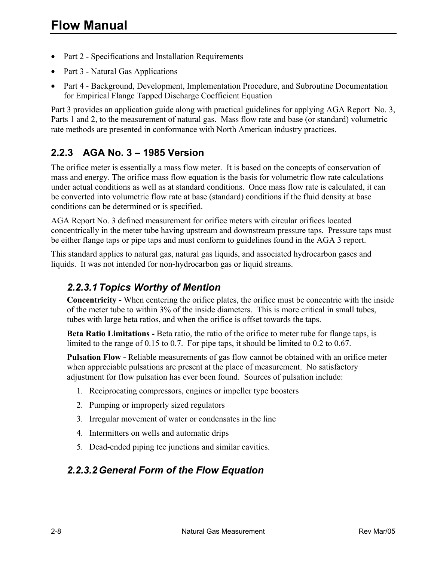- Part 2 Specifications and Installation Requirements
- Part 3 Natural Gas Applications
- Part 4 Background, Development, Implementation Procedure, and Subroutine Documentation for Empirical Flange Tapped Discharge Coefficient Equation

Part 3 provides an application guide along with practical guidelines for applying AGA Report No. 3, Parts 1 and 2, to the measurement of natural gas. Mass flow rate and base (or standard) volumetric rate methods are presented in conformance with North American industry practices.

# **2.2.3 AGA No. 3 – 1985 Version**

The orifice meter is essentially a mass flow meter. It is based on the concepts of conservation of mass and energy. The orifice mass flow equation is the basis for volumetric flow rate calculations under actual conditions as well as at standard conditions. Once mass flow rate is calculated, it can be converted into volumetric flow rate at base (standard) conditions if the fluid density at base conditions can be determined or is specified.

AGA Report No. 3 defined measurement for orifice meters with circular orifices located concentrically in the meter tube having upstream and downstream pressure taps. Pressure taps must be either flange taps or pipe taps and must conform to guidelines found in the AGA 3 report.

This standard applies to natural gas, natural gas liquids, and associated hydrocarbon gases and liquids. It was not intended for non-hydrocarbon gas or liquid streams.

### *2.2.3.1 Topics Worthy of Mention*

**Concentricity -** When centering the orifice plates, the orifice must be concentric with the inside of the meter tube to within 3% of the inside diameters. This is more critical in small tubes, tubes with large beta ratios, and when the orifice is offset towards the taps.

**Beta Ratio Limitations -** Beta ratio, the ratio of the orifice to meter tube for flange taps, is limited to the range of 0.15 to 0.7. For pipe taps, it should be limited to 0.2 to 0.67.

**Pulsation Flow -** Reliable measurements of gas flow cannot be obtained with an orifice meter when appreciable pulsations are present at the place of measurement. No satisfactory adjustment for flow pulsation has ever been found. Sources of pulsation include:

- 1. Reciprocating compressors, engines or impeller type boosters
- 2. Pumping or improperly sized regulators
- 3. Irregular movement of water or condensates in the line
- 4. Intermitters on wells and automatic drips
- 5. Dead-ended piping tee junctions and similar cavities.

#### *2.2.3.2 General Form of the Flow Equation*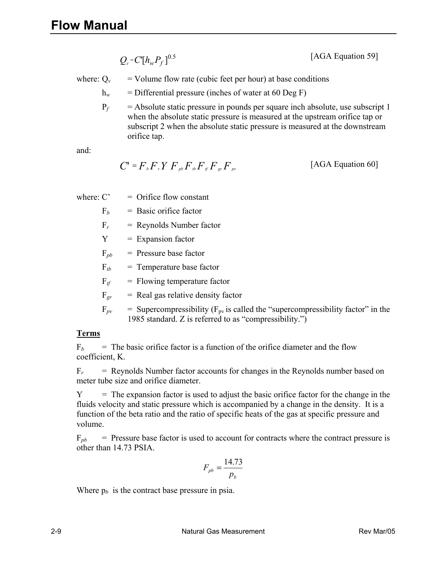$Q_v = C[h_w P_f]^{0.5}$ [AGA Equation 59]

where:  $Q_v$  = Volume flow rate (cubic feet per hour) at base conditions

 $h_w$  = Differential pressure (inches of water at 60 Deg F)

 $P_f$  = Absolute static pressure in pounds per square inch absolute, use subscript 1 when the absolute static pressure is measured at the upstream orifice tap or subscript 2 when the absolute static pressure is measured at the downstream orifice tap.

and:

$$
C' = Fb Fr Y Fpb Fbf Fg Fgr Fpr
$$
 [AGA Equation 60]

where:  $C' =$  Orifice flow constant

 $F_b$  = Basic orifice factor

 $F_r$  = Reynolds Number factor

 $Y =$  Expansion factor

 $F_{pb}$  = Pressure base factor

 $F_{tb}$  = Temperature base factor

 $F_{tf}$  = Flowing temperature factor

 $F_{gr}$  = Real gas relative density factor

 $F_{pv}$  = Supercompressibility ( $F_{pv}$  is called the "supercompressibility factor" in the 1985 standard. Z is referred to as "compressibility.")

#### **Terms**

 $F_b$  = The basic orifice factor is a function of the orifice diameter and the flow coefficient, K.

 $F_r$  = Reynolds Number factor accounts for changes in the Reynolds number based on meter tube size and orifice diameter.

 $Y =$ The expansion factor is used to adjust the basic orifice factor for the change in the fluids velocity and static pressure which is accompanied by a change in the density. It is a function of the beta ratio and the ratio of specific heats of the gas at specific pressure and volume.

 $F_{pb}$  = Pressure base factor is used to account for contracts where the contract pressure is other than 14.73 PSIA.

$$
F_{pb} = \frac{14.73}{p_b}
$$

Where  $p_b$  is the contract base pressure in psia.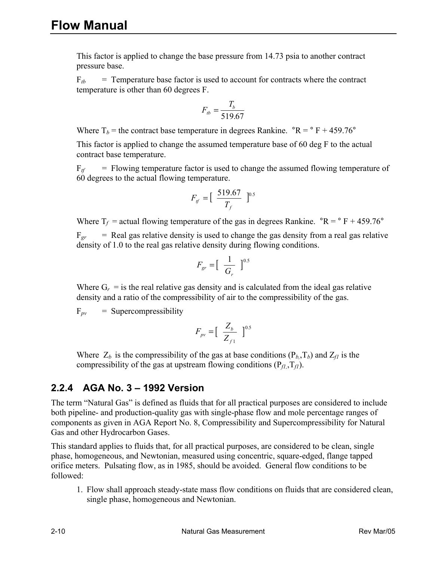This factor is applied to change the base pressure from 14.73 psia to another contract pressure base.

 $F_{tb}$  = Temperature base factor is used to account for contracts where the contract temperature is other than 60 degrees F.

$$
F_{tb} = \frac{T_b}{519.67}
$$

Where  $T_b$  = the contract base temperature in degrees Rankine.  $\degree R = \degree F + 459.76\degree$ 

 This factor is applied to change the assumed temperature base of 60 deg F to the actual contract base temperature.

 $F_{tf}$  = Flowing temperature factor is used to change the assumed flowing temperature of 60 degrees to the actual flowing temperature.

$$
F_{tf} = \left[ \begin{array}{cc} 519.67 \\ T_f \end{array} \right]^{0.5}
$$

Where  $T_f$  = actual flowing temperature of the gas in degrees Rankine.  $\textdegree$ R =  $\textdegree$  F + 459.76 $\textdegree$ 

 $F_{gr}$  = Real gas relative density is used to change the gas density from a real gas relative density of 1.0 to the real gas relative density during flowing conditions.

$$
F_{gr} = \left[\begin{array}{cc} \frac{1}{G_r} \end{array}\right]^{0.5}
$$

Where  $G_r$  = is the real relative gas density and is calculated from the ideal gas relative density and a ratio of the compressibility of air to the compressibility of the gas.

 $F_{pv}$  = Supercompressibility

$$
F_{pv} = \left[\begin{array}{c} Z_b \\ Z_{f1} \end{array}\right]^{0.5}
$$

Where  $Z_b$  is the compressibility of the gas at base conditions ( $P_b$ , $T_b$ ) and  $Z_f$  is the compressibility of the gas at upstream flowing conditions  $(P_{f1}, T_{f1})$ .

#### **2.2.4 AGA No. 3 – 1992 Version**

The term "Natural Gas" is defined as fluids that for all practical purposes are considered to include both pipeline- and production-quality gas with single-phase flow and mole percentage ranges of components as given in AGA Report No. 8, Compressibility and Supercompressibility for Natural Gas and other Hydrocarbon Gases.

This standard applies to fluids that, for all practical purposes, are considered to be clean, single phase, homogeneous, and Newtonian, measured using concentric, square-edged, flange tapped orifice meters. Pulsating flow, as in 1985, should be avoided. General flow conditions to be followed:

1. Flow shall approach steady-state mass flow conditions on fluids that are considered clean, single phase, homogeneous and Newtonian.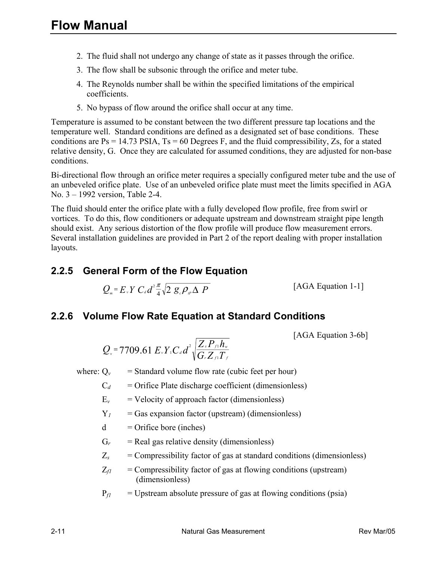- 2. The fluid shall not undergo any change of state as it passes through the orifice.
- 3. The flow shall be subsonic through the orifice and meter tube.
- 4. The Reynolds number shall be within the specified limitations of the empirical coefficients.
- 5. No bypass of flow around the orifice shall occur at any time.

Temperature is assumed to be constant between the two different pressure tap locations and the temperature well. Standard conditions are defined as a designated set of base conditions. These conditions are  $Ps = 14.73$  PSIA,  $Ts = 60$  Degrees F, and the fluid compressibility, Zs, for a stated relative density, G. Once they are calculated for assumed conditions, they are adjusted for non-base conditions.

Bi-directional flow through an orifice meter requires a specially configured meter tube and the use of an unbeveled orifice plate. Use of an unbeveled orifice plate must meet the limits specified in AGA No. 3 – 1992 version, Table 2-4.

The fluid should enter the orifice plate with a fully developed flow profile, free from swirl or vortices. To do this, flow conditioners or adequate upstream and downstream straight pipe length should exist. Any serious distortion of the flow profile will produce flow measurement errors. Several installation guidelines are provided in Part 2 of the report dealing with proper installation layouts.

### **2.2.5 General Form of the Flow Equation**

 $Q_{m} = E_{v} Y C_{d} d^{2} \frac{\pi}{4} \sqrt{2 g_{c} \rho_{\mu} \Delta P}$  [AGA Equation 1-1]

#### **2.2.6 Volume Flow Rate Equation at Standard Conditions**

[AGA Equation 3-6b]

$$
Q_{v} = 7709.61 E_{v} Y_{1} C_{d} d^{2} \sqrt{\frac{Z_{s} P_{f1} h_{w}}{G_{r} Z_{f1} T_{f}}}
$$

where:  $Q_v$  = Standard volume flow rate (cubic feet per hour)

- $C_d$  = Orifice Plate discharge coefficient (dimensionless)
- $E_v$  = Velocity of approach factor (dimensionless)
- $Y_I$  = Gas expansion factor (upstream) (dimensionless)
- $d =$ Orifice bore (inches)
- $G_r$  = Real gas relative density (dimensionless)
- $Z_s$  = Compressibility factor of gas at standard conditions (dimensionless)
- $Z_{f1}$  = Compressibility factor of gas at flowing conditions (upstream) (dimensionless)
- $P_f1$  = Upstream absolute pressure of gas at flowing conditions (psia)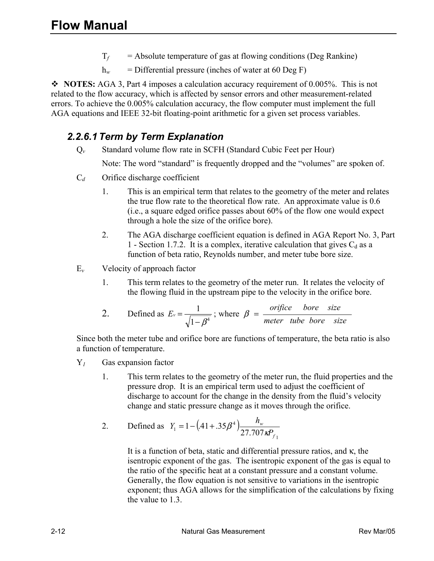- $T_f$  = Absolute temperature of gas at flowing conditions (Deg Rankine)
- $h_w$  = Differential pressure (inches of water at 60 Deg F)

 **NOTES:** AGA 3, Part 4 imposes a calculation accuracy requirement of 0.005%. This is not related to the flow accuracy, which is affected by sensor errors and other measurement-related errors. To achieve the 0.005% calculation accuracy, the flow computer must implement the full AGA equations and IEEE 32-bit floating-point arithmetic for a given set process variables.

#### *2.2.6.1 Term by Term Explanation*

Q*v* Standard volume flow rate in SCFH (Standard Cubic Feet per Hour)

Note: The word "standard" is frequently dropped and the "volumes" are spoken of.

- C*d* Orifice discharge coefficient
	- 1. This is an empirical term that relates to the geometry of the meter and relates the true flow rate to the theoretical flow rate. An approximate value is 0.6 (i.e., a square edged orifice passes about 60% of the flow one would expect through a hole the size of the orifice bore).
	- 2. The AGA discharge coefficient equation is defined in AGA Report No. 3, Part 1 - Section 1.7.2. It is a complex, iterative calculation that gives  $C_d$  as a function of beta ratio, Reynolds number, and meter tube bore size.
- E*v* Velocity of approach factor
	- 1. This term relates to the geometry of the meter run. It relates the velocity of the flowing fluid in the upstream pipe to the velocity in the orifice bore.

2. Defined as 
$$
E_v = \frac{1}{\sqrt{1 - \beta^4}}
$$
; where  $\beta = \frac{orifice \quad bore \quad size}{meter \quad tube \quad bore \quad size}$ 

Since both the meter tube and orifice bore are functions of temperature, the beta ratio is also a function of temperature.

- Y*1* Gas expansion factor
	- 1. This term relates to the geometry of the meter run, the fluid properties and the pressure drop. It is an empirical term used to adjust the coefficient of discharge to account for the change in the density from the fluid's velocity change and static pressure change as it moves through the orifice.
	- 2. Defined as  $Y_1 = 1 (0.41 + 0.35\beta^4)$ 1 4  $T_1 = 1 - (0.41 + 0.35\beta^4) \frac{R_w}{27.707}$ *f w P*  $Y_1 = 1 - (41 + .35\beta^4) \frac{h_w}{27.707 \text{ kJ}}$

It is a function of beta, static and differential pressure ratios, and κ, the isentropic exponent of the gas. The isentropic exponent of the gas is equal to the ratio of the specific heat at a constant pressure and a constant volume. Generally, the flow equation is not sensitive to variations in the isentropic exponent; thus AGA allows for the simplification of the calculations by fixing the value to 1.3.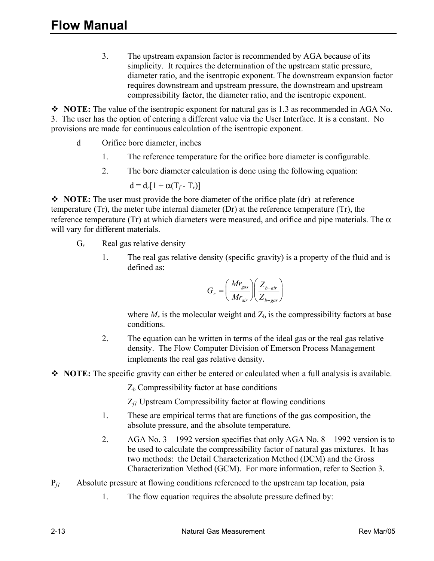3. The upstream expansion factor is recommended by AGA because of its simplicity. It requires the determination of the upstream static pressure, diameter ratio, and the isentropic exponent. The downstream expansion factor requires downstream and upstream pressure, the downstream and upstream compressibility factor, the diameter ratio, and the isentropic exponent.

• NOTE: The value of the isentropic exponent for natural gas is 1.3 as recommended in AGA No. 3. The user has the option of entering a different value via the User Interface. It is a constant. No provisions are made for continuous calculation of the isentropic exponent.

- d Orifice bore diameter, inches
	- 1. The reference temperature for the orifice bore diameter is configurable.
	- 2. The bore diameter calculation is done using the following equation:

$$
d = d_r [1 + \alpha (T_f - T_r)]
$$

• NOTE: The user must provide the bore diameter of the orifice plate (dr) at reference temperature (Tr), the meter tube internal diameter (Dr) at the reference temperature (Tr), the reference temperature (Tr) at which diameters were measured, and orifice and pipe materials. The  $\alpha$ will vary for different materials.

- G*r* Real gas relative density
	- 1. The real gas relative density (specific gravity) is a property of the fluid and is defined as:

$$
G_r = \left(\frac{Mr_{gas}}{Mr_{air}}\right)\left(\frac{Z_{b-air}}{Z_{b-gas}}\right)
$$

where  $M_r$  is the molecular weight and  $Z_b$  is the compressibility factors at base conditions.

- 2. The equation can be written in terms of the ideal gas or the real gas relative density. The Flow Computer Division of Emerson Process Management implements the real gas relative density.
- NOTE: The specific gravity can either be entered or calculated when a full analysis is available.

Z*b* Compressibility factor at base conditions

Z*f1* Upstream Compressibility factor at flowing conditions

- 1. These are empirical terms that are functions of the gas composition, the absolute pressure, and the absolute temperature.
- 2. AGA No. 3 1992 version specifies that only AGA No. 8 1992 version is to be used to calculate the compressibility factor of natural gas mixtures. It has two methods: the Detail Characterization Method (DCM) and the Gross Characterization Method (GCM). For more information, refer to Section 3.
- P*f1* Absolute pressure at flowing conditions referenced to the upstream tap location, psia
	- 1. The flow equation requires the absolute pressure defined by: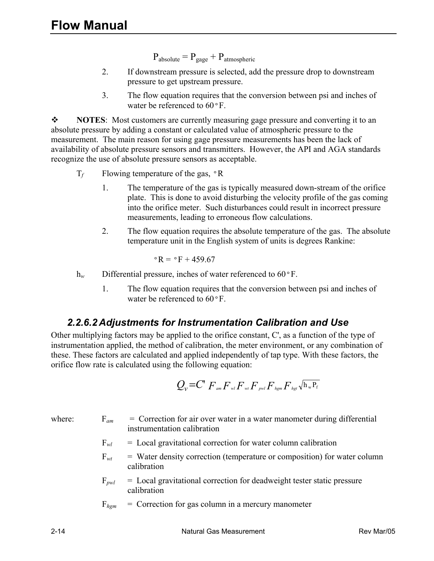$P_{\text{absolute}} = P_{\text{gage}} + P_{\text{atmospheric}}$ 

- 2. If downstream pressure is selected, add the pressure drop to downstream pressure to get upstream pressure.
- 3. The flow equation requires that the conversion between psi and inches of water be referenced to  $60^{\circ}$ F.

**\*** NOTES: Most customers are currently measuring gage pressure and converting it to an absolute pressure by adding a constant or calculated value of atmospheric pressure to the measurement. The main reason for using gage pressure measurements has been the lack of availability of absolute pressure sensors and transmitters. However, the API and AGA standards recognize the use of absolute pressure sensors as acceptable.

- $T_f$  Flowing temperature of the gas,  $\circ$ R
	- 1. The temperature of the gas is typically measured down-stream of the orifice plate. This is done to avoid disturbing the velocity profile of the gas coming into the orifice meter. Such disturbances could result in incorrect pressure measurements, leading to erroneous flow calculations.
	- 2. The flow equation requires the absolute temperature of the gas. The absolute temperature unit in the English system of units is degrees Rankine:

$$
^{\circ}R = ^{\circ}F + 459.67
$$

h<sub>*w*</sub> Differential pressure, inches of water referenced to 60°F.

1. The flow equation requires that the conversion between psi and inches of water be referenced to 60ºF.

#### *2.2.6.2 Adjustments for Instrumentation Calibration and Use*

Other multiplying factors may be applied to the orifice constant, C', as a function of the type of instrumentation applied, the method of calibration, the meter environment, or any combination of these. These factors are calculated and applied independently of tap type. With these factors, the orifice flow rate is calculated using the following equation:

$$
Q_{\nu} \text{=} C^{\prime} \, F_{\text{am}} F_{\text{wl}} F_{\text{wl}} F_{\text{pwl}} F_{\text{hgm}} F_{\text{hgt}} \sqrt{\mathbf{h_w} \mathbf{P_f}}
$$

where:  $F_{am}$  = Correction for air over water in a water manometer during differential instrumentation calibration

- $F_{wl}$  = Local gravitational correction for water column calibration
- $F_{wt}$  = Water density correction (temperature or composition) for water column calibration
- F*pwl* = Local gravitational correction for deadweight tester static pressure calibration
- $F_{hgm}$  = Correction for gas column in a mercury manometer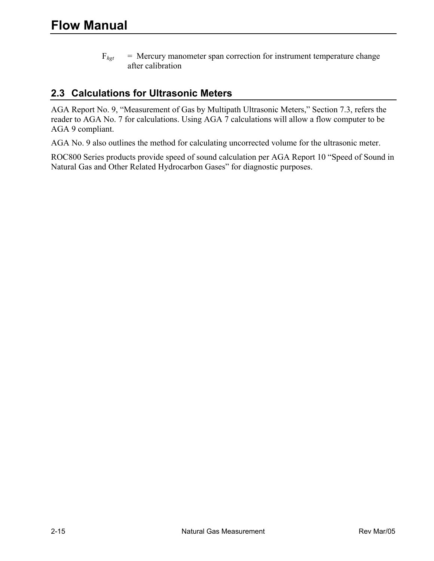$F_{hgt}$  = Mercury manometer span correction for instrument temperature change after calibration

#### **2.3 Calculations for Ultrasonic Meters**

AGA Report No. 9, "Measurement of Gas by Multipath Ultrasonic Meters," Section 7.3, refers the reader to AGA No. 7 for calculations. Using AGA 7 calculations will allow a flow computer to be AGA 9 compliant.

AGA No. 9 also outlines the method for calculating uncorrected volume for the ultrasonic meter.

ROC800 Series products provide speed of sound calculation per AGA Report 10 "Speed of Sound in Natural Gas and Other Related Hydrocarbon Gases" for diagnostic purposes.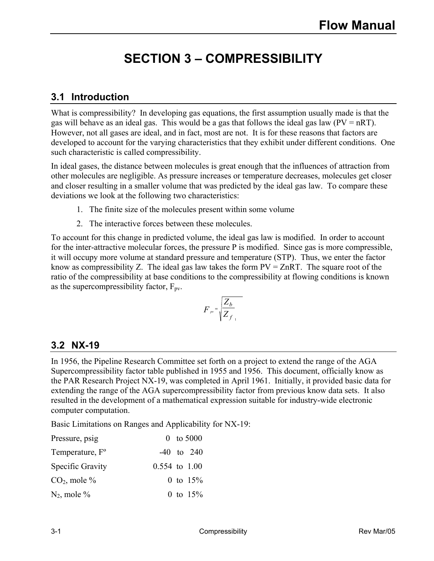# **SECTION 3 – COMPRESSIBILITY**

# **3.1 Introduction**

What is compressibility? In developing gas equations, the first assumption usually made is that the gas will behave as an ideal gas. This would be a gas that follows the ideal gas law  $(PV = nRT)$ . However, not all gases are ideal, and in fact, most are not. It is for these reasons that factors are developed to account for the varying characteristics that they exhibit under different conditions. One such characteristic is called compressibility.

In ideal gases, the distance between molecules is great enough that the influences of attraction from other molecules are negligible. As pressure increases or temperature decreases, molecules get closer and closer resulting in a smaller volume that was predicted by the ideal gas law. To compare these deviations we look at the following two characteristics:

- 1. The finite size of the molecules present within some volume
- 2. The interactive forces between these molecules.

To account for this change in predicted volume, the ideal gas law is modified. In order to account for the inter-attractive molecular forces, the pressure P is modified. Since gas is more compressible, it will occupy more volume at standard pressure and temperature (STP). Thus, we enter the factor know as compressibility Z. The ideal gas law takes the form  $PV = ZnRT$ . The square root of the ratio of the compressibility at base conditions to the compressibility at flowing conditions is known as the supercompressibility factor,  $F_{\text{pv}}$ .

$$
F_{pr} = \sqrt{\frac{Z_b}{Z_{f_{-1}}}}
$$

### **3.2 NX-19**

In 1956, the Pipeline Research Committee set forth on a project to extend the range of the AGA Supercompressibility factor table published in 1955 and 1956. This document, officially know as the PAR Research Project NX-19, was completed in April 1961. Initially, it provided basic data for extending the range of the AGA supercompressibility factor from previous know data sets. It also resulted in the development of a mathematical expression suitable for industry-wide electronic computer computation.

Basic Limitations on Ranges and Applicability for NX-19:

| Pressure, psig              | 0 to $5000$       |
|-----------------------------|-------------------|
| Temperature, F <sup>o</sup> | $-40$ to 240      |
| Specific Gravity            | $0.554$ to $1.00$ |
| $CO2$ , mole %              | 0 to $15%$        |
| $N_2$ , mole %              | 0 to $15%$        |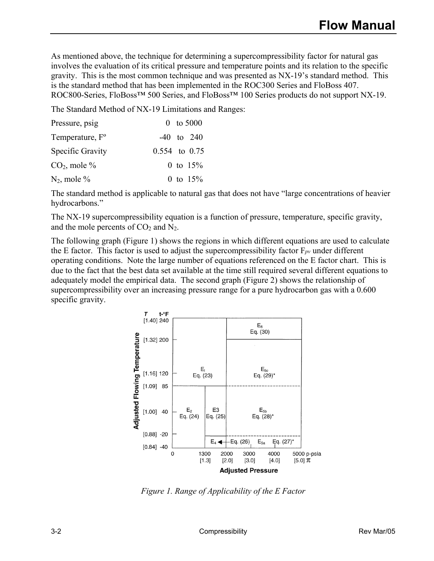As mentioned above, the technique for determining a supercompressibility factor for natural gas involves the evaluation of its critical pressure and temperature points and its relation to the specific gravity. This is the most common technique and was presented as NX-19's standard method. This is the standard method that has been implemented in the ROC300 Series and FloBoss 407. ROC800-Series, FloBoss<sup>™</sup> 500 Series, and FloBoss<sup>™</sup> 100 Series products do not support NX-19.

The Standard Method of NX-19 Limitations and Ranges:

| Pressure, psig              | 0 to $5000$       |
|-----------------------------|-------------------|
| Temperature, F <sup>o</sup> | $-40$ to 240      |
| Specific Gravity            | $0.554$ to $0.75$ |
| $CO2$ , mole %              | 0 to $15%$        |
| $N_2$ , mole %              | 0 to $15%$        |

The standard method is applicable to natural gas that does not have "large concentrations of heavier hydrocarbons."

The NX-19 supercompressibility equation is a function of pressure, temperature, specific gravity, and the mole percents of  $CO<sub>2</sub>$  and N<sub>2</sub>.

The following graph (Figure 1) shows the regions in which different equations are used to calculate the E factor. This factor is used to adjust the supercompressibility factor  $F_{pv}$  under different operating conditions. Note the large number of equations referenced on the E factor chart. This is due to the fact that the best data set available at the time still required several different equations to adequately model the empirical data. The second graph (Figure 2) shows the relationship of supercompressibility over an increasing pressure range for a pure hydrocarbon gas with a 0.600 specific gravity.



*Figure 1. Range of Applicability of the E Factor*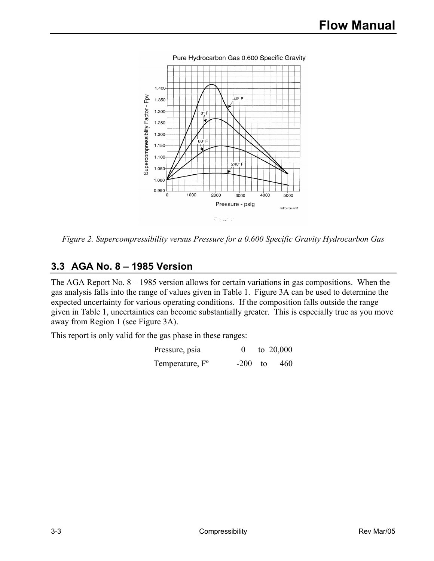

*Figure 2. Supercompressibility versus Pressure for a 0.600 Specific Gravity Hydrocarbon Gas* 

#### **3.3 AGA No. 8 – 1985 Version**

The AGA Report No. 8 – 1985 version allows for certain variations in gas compositions. When the gas analysis falls into the range of values given in Table 1. Figure 3A can be used to determine the expected uncertainty for various operating conditions. If the composition falls outside the range given in Table 1, uncertainties can become substantially greater. This is especially true as you move away from Region 1 (see Figure 3A).

This report is only valid for the gas phase in these ranges:

| Pressure, psia              |           | to $20,000$ |
|-----------------------------|-----------|-------------|
| Temperature, F <sup>o</sup> | $-200$ to | 460         |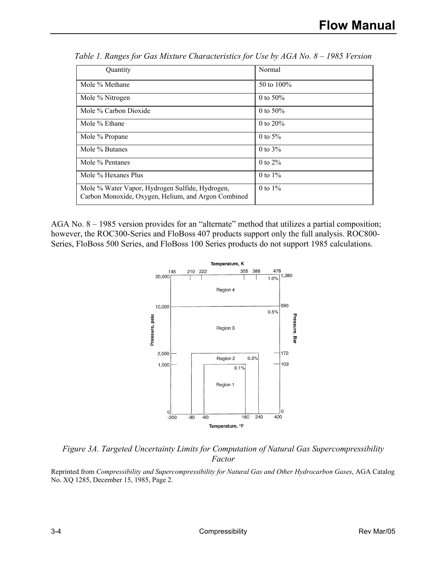| Quantity                                                                                               | Normal        |
|--------------------------------------------------------------------------------------------------------|---------------|
| Mole % Methane                                                                                         | 50 to $100\%$ |
| Mole % Nitrogen                                                                                        | 0 to $50\%$   |
| Mole % Carbon Dioxide                                                                                  | 0 to $50\%$   |
| Mole % Ethane                                                                                          | 0 to $20\%$   |
| Mole % Propane                                                                                         | 0 to $5%$     |
| Mole % Butanes                                                                                         | 0 to $3%$     |
| Mole % Pentanes                                                                                        | $0$ to $2\%$  |
| Mole % Hexanes Plus                                                                                    | 0 to $1\%$    |
| Mole % Water Vapor, Hydrogen Sulfide, Hydrogen,<br>Carbon Monoxide, Oxygen, Helium, and Argon Combined | $0$ to $1\%$  |

*Table 1. Ranges for Gas Mixture Characteristics for Use by AGA No. 8 – 1985 Version* 

AGA No. 8 – 1985 version provides for an "alternate" method that utilizes a partial composition; however, the ROC300-Series and FloBoss 407 products support only the full analysis. ROC800-Series, FloBoss 500 Series, and FloBoss 100 Series products do not support 1985 calculations.



*Figure 3A. Targeted Uncertainty Limits for Computation of Natural Gas Supercompressibility Factor* 

Reprinted from *Compressibility and Supercompressibility for Natural Gas and Other Hydrocarbon Gases*, AGA Catalog No. XQ 1285, December 15, 1985, Page 2.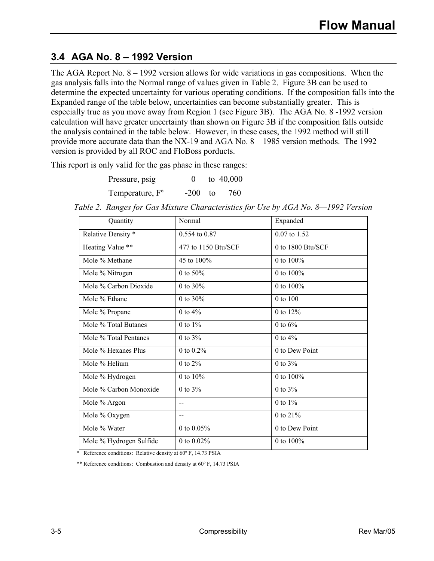#### **3.4 AGA No. 8 – 1992 Version**

The AGA Report No. 8 – 1992 version allows for wide variations in gas compositions. When the gas analysis falls into the Normal range of values given in Table 2. Figure 3B can be used to determine the expected uncertainty for various operating conditions. If the composition falls into the Expanded range of the table below, uncertainties can become substantially greater. This is especially true as you move away from Region 1 (see Figure 3B). The AGA No. 8 -1992 version calculation will have greater uncertainty than shown on Figure 3B if the composition falls outside the analysis contained in the table below. However, in these cases, the 1992 method will still provide more accurate data than the NX-19 and AGA No. 8 – 1985 version methods. The 1992 version is provided by all ROC and FloBoss porducts.

This report is only valid for the gas phase in these ranges:

| Pressure, psig              |           | to $40,000$ |
|-----------------------------|-----------|-------------|
| Temperature, F <sup>o</sup> | $-200$ to | -760        |

| Quantity                | Normal              | Expanded          |
|-------------------------|---------------------|-------------------|
| Relative Density *      | 0.554 to 0.87       | 0.07 to 1.52      |
| Heating Value **        | 477 to 1150 Btu/SCF | 0 to 1800 Btu/SCF |
| Mole % Methane          | 45 to 100%          | 0 to 100%         |
| Mole % Nitrogen         | 0 to $50\%$         | 0 to 100%         |
| Mole % Carbon Dioxide   | 0 to $30\%$         | 0 to 100%         |
| Mole % Ethane           | 0 to $30%$          | 0 to 100          |
| Mole % Propane          | 0 to $4%$           | 0 to 12%          |
| Mole % Total Butanes    | 0 to $1\%$          | 0 to $6\%$        |
| Mole % Total Pentanes   | 0 to $3%$           | 0 to $4%$         |
| Mole % Hexanes Plus     | 0 to $0.2%$         | 0 to Dew Point    |
| Mole % Helium           | 0 to $2\%$          | 0 to $3%$         |
| Mole % Hydrogen         | 0 to $10%$          | 0 to $100\%$      |
| Mole % Carbon Monoxide  | 0 to $3%$           | $0$ to $3\%$      |
| Mole % Argon            | $-$                 | 0 to $1\%$        |
| Mole % Oxygen           | $\overline{a}$      | 0 to 21%          |
| Mole % Water            | 0 to $0.05%$        | 0 to Dew Point    |
| Mole % Hydrogen Sulfide | 0 to $0.02\%$       | 0 to $100\%$      |

*Table 2. Ranges for Gas Mixture Characteristics for Use by AGA No. 8—1992 Version* 

\* Reference conditions: Relative density at 60º F, 14.73 PSIA

\*\* Reference conditions: Combustion and density at 60º F, 14.73 PSIA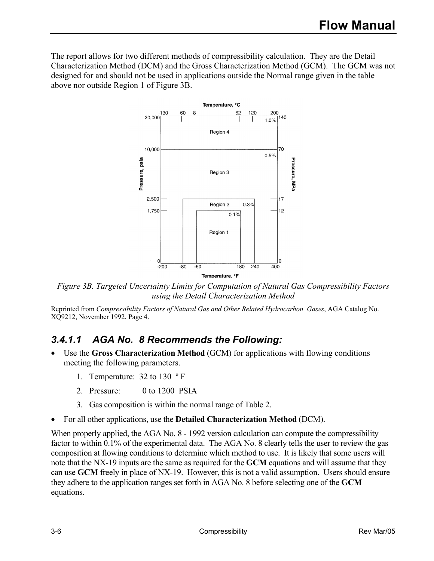The report allows for two different methods of compressibility calculation. They are the Detail Characterization Method (DCM) and the Gross Characterization Method (GCM). The GCM was not designed for and should not be used in applications outside the Normal range given in the table above nor outside Region 1 of Figure 3B.



*Figure 3B. Targeted Uncertainty Limits for Computation of Natural Gas Compressibility Factors using the Detail Characterization Method* 

Reprinted from *Compressibility Factors of Natural Gas and Other Related Hydrocarbon Gases*, AGA Catalog No. XQ9212, November 1992, Page 4.

### *3.4.1.1 AGA No. 8 Recommends the Following:*

- Use the **Gross Characterization Method** (GCM) for applications with flowing conditions meeting the following parameters.
	- 1. Temperature: 32 to 130 º F
	- 2. Pressure: 0 to 1200 PSIA
	- 3. Gas composition is within the normal range of Table 2.
- For all other applications, use the **Detailed Characterization Method** (DCM).

When properly applied, the AGA No. 8 - 1992 version calculation can compute the compressibility factor to within 0.1% of the experimental data. The AGA No. 8 clearly tells the user to review the gas composition at flowing conditions to determine which method to use. It is likely that some users will note that the NX-19 inputs are the same as required for the **GCM** equations and will assume that they can use **GCM** freely in place of NX-19. However, this is not a valid assumption. Users should ensure they adhere to the application ranges set forth in AGA No. 8 before selecting one of the **GCM**  equations.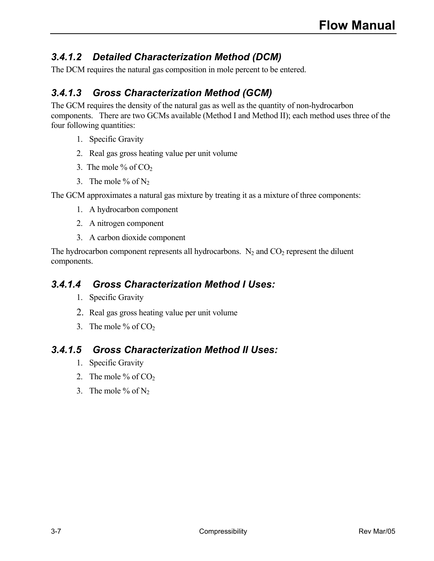# *3.4.1.2 Detailed Characterization Method (DCM)*

The DCM requires the natural gas composition in mole percent to be entered.

# *3.4.1.3 Gross Characterization Method (GCM)*

The GCM requires the density of the natural gas as well as the quantity of non-hydrocarbon components. There are two GCMs available (Method I and Method II); each method uses three of the four following quantities:

- 1. Specific Gravity
- 2. Real gas gross heating value per unit volume
- 3. The mole % of  $CO<sub>2</sub>$
- 3. The mole  $%$  of N<sub>2</sub>

The GCM approximates a natural gas mixture by treating it as a mixture of three components:

- 1. A hydrocarbon component
- 2. A nitrogen component
- 3. A carbon dioxide component

The hydrocarbon component represents all hydrocarbons.  $N_2$  and  $CO_2$  represent the diluent components.

#### *3.4.1.4 Gross Characterization Method I Uses:*

- 1. Specific Gravity
- 2. Real gas gross heating value per unit volume
- 3. The mole % of  $CO<sub>2</sub>$

#### *3.4.1.5 Gross Characterization Method II Uses:*

- 1. Specific Gravity
- 2. The mole  $%$  of CO<sub>2</sub>.
- 3. The mole % of  $N_2$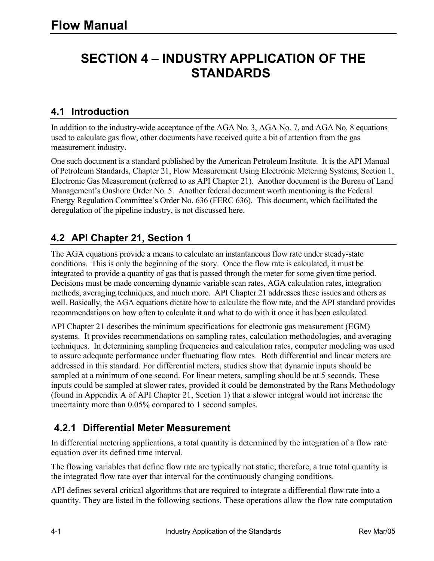# **SECTION 4 – INDUSTRY APPLICATION OF THE STANDARDS**

#### **4.1 Introduction**

In addition to the industry-wide acceptance of the AGA No. 3, AGA No. 7, and AGA No. 8 equations used to calculate gas flow, other documents have received quite a bit of attention from the gas measurement industry.

One such document is a standard published by the American Petroleum Institute. It is the API Manual of Petroleum Standards, Chapter 21, Flow Measurement Using Electronic Metering Systems, Section 1, Electronic Gas Measurement (referred to as API Chapter 21). Another document is the Bureau of Land Management's Onshore Order No. 5. Another federal document worth mentioning is the Federal Energy Regulation Committee's Order No. 636 (FERC 636). This document, which facilitated the deregulation of the pipeline industry, is not discussed here.

#### **4.2 API Chapter 21, Section 1**

The AGA equations provide a means to calculate an instantaneous flow rate under steady-state conditions. This is only the beginning of the story. Once the flow rate is calculated, it must be integrated to provide a quantity of gas that is passed through the meter for some given time period. Decisions must be made concerning dynamic variable scan rates, AGA calculation rates, integration methods, averaging techniques, and much more. API Chapter 21 addresses these issues and others as well. Basically, the AGA equations dictate how to calculate the flow rate, and the API standard provides recommendations on how often to calculate it and what to do with it once it has been calculated.

API Chapter 21 describes the minimum specifications for electronic gas measurement (EGM) systems. It provides recommendations on sampling rates, calculation methodologies, and averaging techniques. In determining sampling frequencies and calculation rates, computer modeling was used to assure adequate performance under fluctuating flow rates. Both differential and linear meters are addressed in this standard. For differential meters, studies show that dynamic inputs should be sampled at a minimum of one second. For linear meters, sampling should be at 5 seconds. These inputs could be sampled at slower rates, provided it could be demonstrated by the Rans Methodology (found in Appendix A of API Chapter 21, Section 1) that a slower integral would not increase the uncertainty more than 0.05% compared to 1 second samples.

#### **4.2.1 Differential Meter Measurement**

In differential metering applications, a total quantity is determined by the integration of a flow rate equation over its defined time interval.

The flowing variables that define flow rate are typically not static; therefore, a true total quantity is the integrated flow rate over that interval for the continuously changing conditions.

API defines several critical algorithms that are required to integrate a differential flow rate into a quantity. They are listed in the following sections. These operations allow the flow rate computation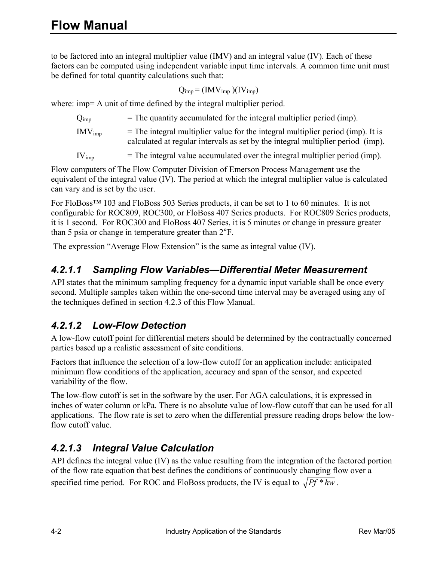to be factored into an integral multiplier value (IMV) and an integral value (IV). Each of these factors can be computed using independent variable input time intervals. A common time unit must be defined for total quantity calculations such that:

$$
Q_{imp} = (IMV_{imp}) (IV_{imp})
$$

where: imp= A unit of time defined by the integral multiplier period.

 $Q_{\text{imp}}$  = The quantity accumulated for the integral multiplier period (imp).  $IW_{imp}$  = The integral multiplier value for the integral multiplier period (imp). It is calculated at regular intervals as set by the integral multiplier period (imp).

 $IV_{\text{imp}}$  = The integral value accumulated over the integral multiplier period (imp).

Flow computers of The Flow Computer Division of Emerson Process Management use the equivalent of the integral value (IV). The period at which the integral multiplier value is calculated can vary and is set by the user.

For FloBoss™ 103 and FloBoss 503 Series products, it can be set to 1 to 60 minutes. It is not configurable for ROC809, ROC300, or FloBoss 407 Series products. For ROC809 Series products, it is 1 second. For ROC300 and FloBoss 407 Series, it is 5 minutes or change in pressure greater than 5 psia or change in temperature greater than 2°F.

The expression "Average Flow Extension" is the same as integral value (IV).

### *4.2.1.1 Sampling Flow Variables—Differential Meter Measurement*

API states that the minimum sampling frequency for a dynamic input variable shall be once every second. Multiple samples taken within the one-second time interval may be averaged using any of the techniques defined in section 4.2.3 of this Flow Manual.

### *4.2.1.2 Low-Flow Detection*

A low-flow cutoff point for differential meters should be determined by the contractually concerned parties based up a realistic assessment of site conditions.

Factors that influence the selection of a low-flow cutoff for an application include: anticipated minimum flow conditions of the application, accuracy and span of the sensor, and expected variability of the flow.

The low-flow cutoff is set in the software by the user. For AGA calculations, it is expressed in inches of water column or kPa. There is no absolute value of low-flow cutoff that can be used for all applications. The flow rate is set to zero when the differential pressure reading drops below the lowflow cutoff value.

# *4.2.1.3 Integral Value Calculation*

API defines the integral value (IV) as the value resulting from the integration of the factored portion of the flow rate equation that best defines the conditions of continuously changing flow over a specified time period. For ROC and FloBoss products, the IV is equal to  $\sqrt{Pf * hw}$ .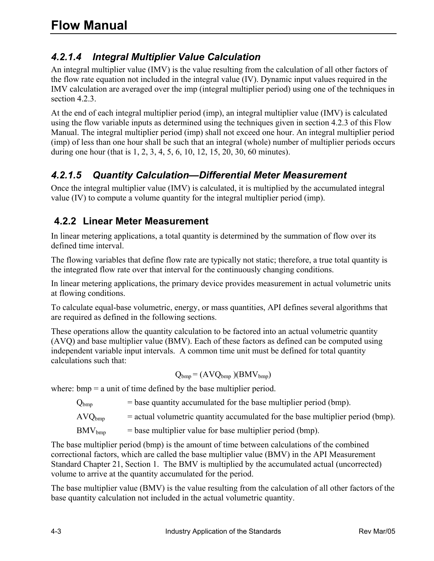# *4.2.1.4 Integral Multiplier Value Calculation*

An integral multiplier value (IMV) is the value resulting from the calculation of all other factors of the flow rate equation not included in the integral value (IV). Dynamic input values required in the IMV calculation are averaged over the imp (integral multiplier period) using one of the techniques in section 4.2.3.

At the end of each integral multiplier period (imp), an integral multiplier value (IMV) is calculated using the flow variable inputs as determined using the techniques given in section 4.2.3 of this Flow Manual. The integral multiplier period (imp) shall not exceed one hour. An integral multiplier period (imp) of less than one hour shall be such that an integral (whole) number of multiplier periods occurs during one hour (that is 1, 2, 3, 4, 5, 6, 10, 12, 15, 20, 30, 60 minutes).

### *4.2.1.5 Quantity Calculation—Differential Meter Measurement*

Once the integral multiplier value (IMV) is calculated, it is multiplied by the accumulated integral value (IV) to compute a volume quantity for the integral multiplier period (imp).

### **4.2.2 Linear Meter Measurement**

In linear metering applications, a total quantity is determined by the summation of flow over its defined time interval.

The flowing variables that define flow rate are typically not static; therefore, a true total quantity is the integrated flow rate over that interval for the continuously changing conditions.

In linear metering applications, the primary device provides measurement in actual volumetric units at flowing conditions.

To calculate equal-base volumetric, energy, or mass quantities, API defines several algorithms that are required as defined in the following sections.

These operations allow the quantity calculation to be factored into an actual volumetric quantity (AVQ) and base multiplier value (BMV). Each of these factors as defined can be computed using independent variable input intervals. A common time unit must be defined for total quantity calculations such that:

$$
Q_{bmp} = (AVQ_{bmp})(BMV_{bmp})
$$

where:  $bmp = a$  unit of time defined by the base multiplier period.

 $Q_{bmp}$  = base quantity accumulated for the base multiplier period (bmp).

 $AVQ_{bmm}$  = actual volumetric quantity accumulated for the base multiplier period (bmp).

 $\text{BMV}_{\text{bmo}}$  = base multiplier value for base multiplier period (bmp).

The base multiplier period (bmp) is the amount of time between calculations of the combined correctional factors, which are called the base multiplier value (BMV) in the API Measurement Standard Chapter 21, Section 1. The BMV is multiplied by the accumulated actual (uncorrected) volume to arrive at the quantity accumulated for the period.

The base multiplier value (BMV) is the value resulting from the calculation of all other factors of the base quantity calculation not included in the actual volumetric quantity.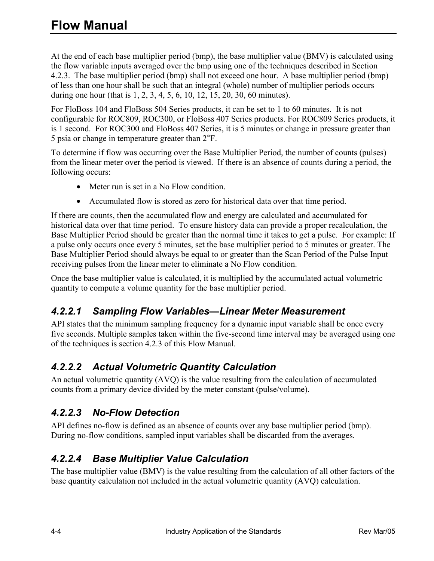At the end of each base multiplier period (bmp), the base multiplier value (BMV) is calculated using the flow variable inputs averaged over the bmp using one of the techniques described in Section 4.2.3. The base multiplier period (bmp) shall not exceed one hour. A base multiplier period (bmp) of less than one hour shall be such that an integral (whole) number of multiplier periods occurs during one hour (that is 1, 2, 3, 4, 5, 6, 10, 12, 15, 20, 30, 60 minutes).

For FloBoss 104 and FloBoss 504 Series products, it can be set to 1 to 60 minutes. It is not configurable for ROC809, ROC300, or FloBoss 407 Series products. For ROC809 Series products, it is 1 second. For ROC300 and FloBoss 407 Series, it is 5 minutes or change in pressure greater than 5 psia or change in temperature greater than 2°F.

To determine if flow was occurring over the Base Multiplier Period, the number of counts (pulses) from the linear meter over the period is viewed. If there is an absence of counts during a period, the following occurs:

- Meter run is set in a No Flow condition.
- Accumulated flow is stored as zero for historical data over that time period.

If there are counts, then the accumulated flow and energy are calculated and accumulated for historical data over that time period. To ensure history data can provide a proper recalculation, the Base Multiplier Period should be greater than the normal time it takes to get a pulse. For example: If a pulse only occurs once every 5 minutes, set the base multiplier period to 5 minutes or greater. The Base Multiplier Period should always be equal to or greater than the Scan Period of the Pulse Input receiving pulses from the linear meter to eliminate a No Flow condition.

Once the base multiplier value is calculated, it is multiplied by the accumulated actual volumetric quantity to compute a volume quantity for the base multiplier period.

### *4.2.2.1 Sampling Flow Variables—Linear Meter Measurement*

API states that the minimum sampling frequency for a dynamic input variable shall be once every five seconds. Multiple samples taken within the five-second time interval may be averaged using one of the techniques is section 4.2.3 of this Flow Manual.

### *4.2.2.2 Actual Volumetric Quantity Calculation*

An actual volumetric quantity (AVQ) is the value resulting from the calculation of accumulated counts from a primary device divided by the meter constant (pulse/volume).

### *4.2.2.3 No-Flow Detection*

API defines no-flow is defined as an absence of counts over any base multiplier period (bmp). During no-flow conditions, sampled input variables shall be discarded from the averages.

# *4.2.2.4 Base Multiplier Value Calculation*

The base multiplier value (BMV) is the value resulting from the calculation of all other factors of the base quantity calculation not included in the actual volumetric quantity (AVQ) calculation.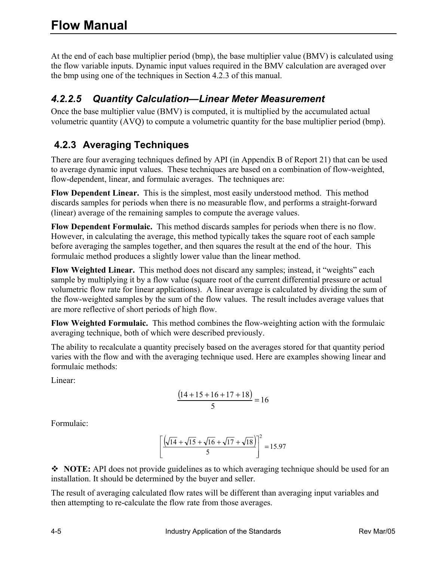At the end of each base multiplier period (bmp), the base multiplier value (BMV) is calculated using the flow variable inputs. Dynamic input values required in the BMV calculation are averaged over the bmp using one of the techniques in Section 4.2.3 of this manual.

# *4.2.2.5 Quantity Calculation—Linear Meter Measurement*

Once the base multiplier value (BMV) is computed, it is multiplied by the accumulated actual volumetric quantity (AVQ) to compute a volumetric quantity for the base multiplier period (bmp).

# **4.2.3 Averaging Techniques**

There are four averaging techniques defined by API (in Appendix B of Report 21) that can be used to average dynamic input values. These techniques are based on a combination of flow-weighted, flow-dependent, linear, and formulaic averages. The techniques are:

**Flow Dependent Linear.** This is the simplest, most easily understood method. This method discards samples for periods when there is no measurable flow, and performs a straight-forward (linear) average of the remaining samples to compute the average values.

**Flow Dependent Formulaic.** This method discards samples for periods when there is no flow. However, in calculating the average, this method typically takes the square root of each sample before averaging the samples together, and then squares the result at the end of the hour. This formulaic method produces a slightly lower value than the linear method.

**Flow Weighted Linear.** This method does not discard any samples; instead, it "weights" each sample by multiplying it by a flow value (square root of the current differential pressure or actual volumetric flow rate for linear applications). A linear average is calculated by dividing the sum of the flow-weighted samples by the sum of the flow values. The result includes average values that are more reflective of short periods of high flow.

**Flow Weighted Formulaic.** This method combines the flow-weighting action with the formulaic averaging technique, both of which were described previously.

The ability to recalculate a quantity precisely based on the averages stored for that quantity period varies with the flow and with the averaging technique used. Here are examples showing linear and formulaic methods:

Linear:

$$
\frac{(14+15+16+17+18)}{5} = 16
$$

Formulaic:

$$
\left[\frac{\left(\sqrt{14} + \sqrt{15} + \sqrt{16} + \sqrt{17} + \sqrt{18}\right)}{5}\right]^2 = 15.97
$$

• NOTE: API does not provide guidelines as to which averaging technique should be used for an installation. It should be determined by the buyer and seller.

The result of averaging calculated flow rates will be different than averaging input variables and then attempting to re-calculate the flow rate from those averages.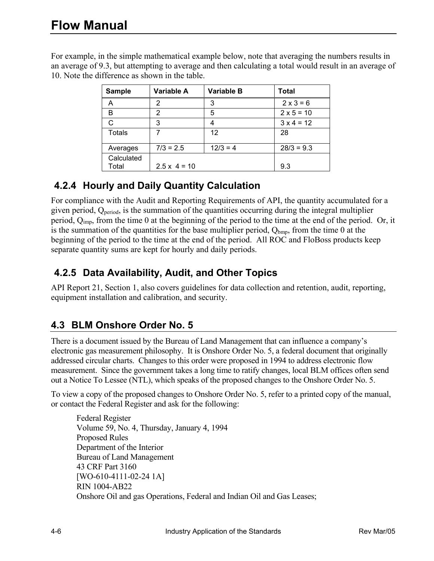For example, in the simple mathematical example below, note that averaging the numbers results in an average of 9.3, but attempting to average and then calculating a total would result in an average of 10. Note the difference as shown in the table.

| <b>Sample</b>       | Variable A          | <b>Variable B</b> | Total             |
|---------------------|---------------------|-------------------|-------------------|
|                     | 2                   | 3                 | $2 \times 3 = 6$  |
| В                   | 2                   | 5                 | $2 \times 5 = 10$ |
| C                   | 3                   | 4                 | $3 \times 4 = 12$ |
| <b>Totals</b>       |                     | 12                | 28                |
| Averages            | $7/3 = 2.5$         | $12/3 = 4$        | $28/3 = 9.3$      |
| Calculated<br>Total | $2.5 \times 4 = 10$ |                   | 9.3               |

### **4.2.4 Hourly and Daily Quantity Calculation**

For compliance with the Audit and Reporting Requirements of API, the quantity accumulated for a given period,  $Q_{period}$ , is the summation of the quantities occurring during the integral multiplier period, Qimp, from the time 0 at the beginning of the period to the time at the end of the period. Or, it is the summation of the quantities for the base multiplier period,  $Q_{bmp}$ , from the time 0 at the beginning of the period to the time at the end of the period. All ROC and FloBoss products keep separate quantity sums are kept for hourly and daily periods.

#### **4.2.5 Data Availability, Audit, and Other Topics**

API Report 21, Section 1, also covers guidelines for data collection and retention, audit, reporting, equipment installation and calibration, and security.

#### **4.3 BLM Onshore Order No. 5**

There is a document issued by the Bureau of Land Management that can influence a company's electronic gas measurement philosophy. It is Onshore Order No. 5, a federal document that originally addressed circular charts. Changes to this order were proposed in 1994 to address electronic flow measurement. Since the government takes a long time to ratify changes, local BLM offices often send out a Notice To Lessee (NTL), which speaks of the proposed changes to the Onshore Order No. 5.

To view a copy of the proposed changes to Onshore Order No. 5, refer to a printed copy of the manual, or contact the Federal Register and ask for the following:

 Federal Register Volume 59, No. 4, Thursday, January 4, 1994 Proposed Rules Department of the Interior Bureau of Land Management 43 CRF Part 3160 [WO-610-4111-02-24 1A] RIN 1004-AB22 Onshore Oil and gas Operations, Federal and Indian Oil and Gas Leases;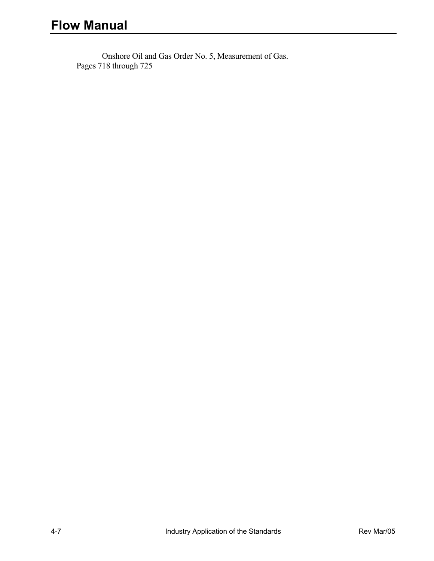Onshore Oil and Gas Order No. 5, Measurement of Gas. Pages 718 through 725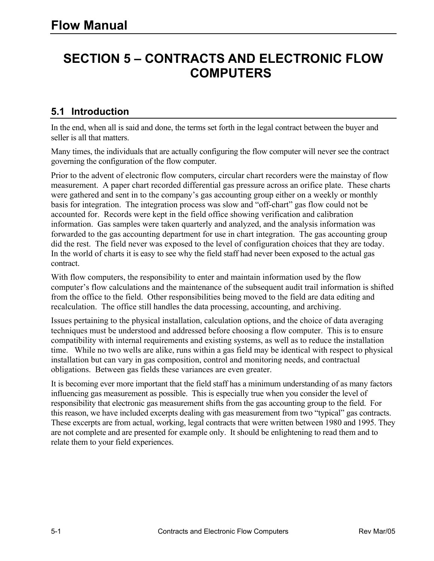# **SECTION 5 – CONTRACTS AND ELECTRONIC FLOW COMPUTERS**

#### **5.1 Introduction**

In the end, when all is said and done, the terms set forth in the legal contract between the buyer and seller is all that matters.

Many times, the individuals that are actually configuring the flow computer will never see the contract governing the configuration of the flow computer.

Prior to the advent of electronic flow computers, circular chart recorders were the mainstay of flow measurement. A paper chart recorded differential gas pressure across an orifice plate. These charts were gathered and sent in to the company's gas accounting group either on a weekly or monthly basis for integration. The integration process was slow and "off-chart" gas flow could not be accounted for. Records were kept in the field office showing verification and calibration information. Gas samples were taken quarterly and analyzed, and the analysis information was forwarded to the gas accounting department for use in chart integration. The gas accounting group did the rest. The field never was exposed to the level of configuration choices that they are today. In the world of charts it is easy to see why the field staff had never been exposed to the actual gas contract.

With flow computers, the responsibility to enter and maintain information used by the flow computer's flow calculations and the maintenance of the subsequent audit trail information is shifted from the office to the field. Other responsibilities being moved to the field are data editing and recalculation. The office still handles the data processing, accounting, and archiving.

Issues pertaining to the physical installation, calculation options, and the choice of data averaging techniques must be understood and addressed before choosing a flow computer. This is to ensure compatibility with internal requirements and existing systems, as well as to reduce the installation time. While no two wells are alike, runs within a gas field may be identical with respect to physical installation but can vary in gas composition, control and monitoring needs, and contractual obligations. Between gas fields these variances are even greater.

It is becoming ever more important that the field staff has a minimum understanding of as many factors influencing gas measurement as possible. This is especially true when you consider the level of responsibility that electronic gas measurement shifts from the gas accounting group to the field. For this reason, we have included excerpts dealing with gas measurement from two "typical" gas contracts. These excerpts are from actual, working, legal contracts that were written between 1980 and 1995. They are not complete and are presented for example only. It should be enlightening to read them and to relate them to your field experiences.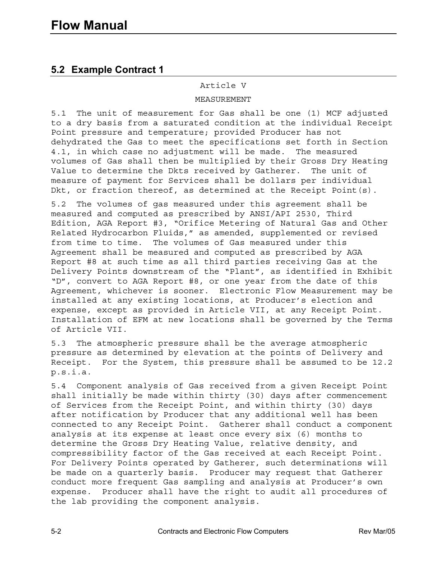#### **5.2 Example Contract 1**

#### Article V

#### MEASUREMENT

5.1 The unit of measurement for Gas shall be one (1) MCF adjusted to a dry basis from a saturated condition at the individual Receipt Point pressure and temperature; provided Producer has not dehydrated the Gas to meet the specifications set forth in Section 4.1, in which case no adjustment will be made. The measured volumes of Gas shall then be multiplied by their Gross Dry Heating Value to determine the Dkts received by Gatherer. The unit of measure of payment for Services shall be dollars per individual Dkt, or fraction thereof, as determined at the Receipt Point(s).

5.2 The volumes of gas measured under this agreement shall be measured and computed as prescribed by ANSI/API 2530, Third Edition, AGA Report #3, "Orifice Metering of Natural Gas and Other Related Hydrocarbon Fluids," as amended, supplemented or revised from time to time. The volumes of Gas measured under this Agreement shall be measured and computed as prescribed by AGA Report #8 at such time as all third parties receiving Gas at the Delivery Points downstream of the "Plant", as identified in Exhibit "D", convert to AGA Report #8, or one year from the date of this Agreement, whichever is sooner. Electronic Flow Measurement may be installed at any existing locations, at Producer's election and expense, except as provided in Article VII, at any Receipt Point. Installation of EFM at new locations shall be governed by the Terms of Article VII.

5.3 The atmospheric pressure shall be the average atmospheric pressure as determined by elevation at the points of Delivery and Receipt. For the System, this pressure shall be assumed to be 12.2 p.s.i.a.

5.4 Component analysis of Gas received from a given Receipt Point shall initially be made within thirty (30) days after commencement of Services from the Receipt Point, and within thirty (30) days after notification by Producer that any additional well has been connected to any Receipt Point. Gatherer shall conduct a component analysis at its expense at least once every six (6) months to determine the Gross Dry Heating Value, relative density, and compressibility factor of the Gas received at each Receipt Point. For Delivery Points operated by Gatherer, such determinations will be made on a quarterly basis. Producer may request that Gatherer conduct more frequent Gas sampling and analysis at Producer's own expense. Producer shall have the right to audit all procedures of the lab providing the component analysis.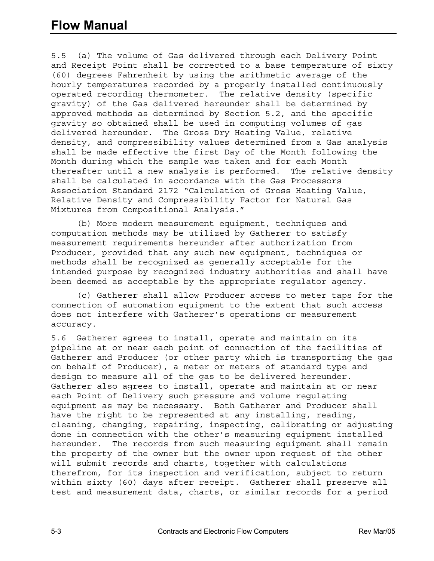# **Flow Manual**

5.5 (a) The volume of Gas delivered through each Delivery Point and Receipt Point shall be corrected to a base temperature of sixty (60) degrees Fahrenheit by using the arithmetic average of the hourly temperatures recorded by a properly installed continuously operated recording thermometer. The relative density (specific gravity) of the Gas delivered hereunder shall be determined by approved methods as determined by Section 5.2, and the specific gravity so obtained shall be used in computing volumes of gas delivered hereunder. The Gross Dry Heating Value, relative density, and compressibility values determined from a Gas analysis shall be made effective the first Day of the Month following the Month during which the sample was taken and for each Month thereafter until a new analysis is performed. The relative density shall be calculated in accordance with the Gas Processors Association Standard 2172 "Calculation of Gross Heating Value, Relative Density and Compressibility Factor for Natural Gas Mixtures from Compositional Analysis."

 (b) More modern measurement equipment, techniques and computation methods may be utilized by Gatherer to satisfy measurement requirements hereunder after authorization from Producer, provided that any such new equipment, techniques or methods shall be recognized as generally acceptable for the intended purpose by recognized industry authorities and shall have been deemed as acceptable by the appropriate regulator agency.

 (c) Gatherer shall allow Producer access to meter taps for the connection of automation equipment to the extent that such access does not interfere with Gatherer's operations or measurement accuracy.

5.6 Gatherer agrees to install, operate and maintain on its pipeline at or near each point of connection of the facilities of Gatherer and Producer (or other party which is transporting the gas on behalf of Producer), a meter or meters of standard type and design to measure all of the gas to be delivered hereunder. Gatherer also agrees to install, operate and maintain at or near each Point of Delivery such pressure and volume regulating equipment as may be necessary. Both Gatherer and Producer shall have the right to be represented at any installing, reading, cleaning, changing, repairing, inspecting, calibrating or adjusting done in connection with the other's measuring equipment installed hereunder. The records from such measuring equipment shall remain the property of the owner but the owner upon request of the other will submit records and charts, together with calculations therefrom, for its inspection and verification, subject to return within sixty (60) days after receipt. Gatherer shall preserve all test and measurement data, charts, or similar records for a period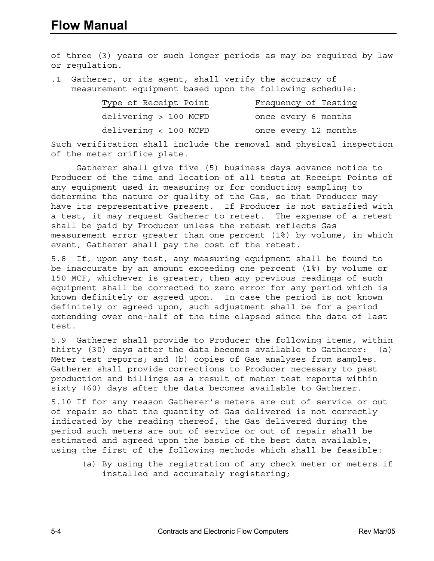# **Flow Manual**

of three (3) years or such longer periods as may be required by law or regulation.

.1 Gatherer, or its agent, shall verify the accuracy of measurement equipment based upon the following schedule:

| Type of Receipt Point | Frequency of Testing |
|-----------------------|----------------------|
| delivering > 100 MCFD | once every 6 months  |
| delivering < 100 MCFD | once every 12 months |

Such verification shall include the removal and physical inspection of the meter orifice plate.

 Gatherer shall give five (5) business days advance notice to Producer of the time and location of all tests at Receipt Points of any equipment used in measuring or for conducting sampling to determine the nature or quality of the Gas, so that Producer may have its representative present. If Producer is not satisfied with a test, it may request Gatherer to retest. The expense of a retest shall be paid by Producer unless the retest reflects Gas measurement error greater than one percent (1%) by volume, in which event, Gatherer shall pay the cost of the retest.

5.8 If, upon any test, any measuring equipment shall be found to be inaccurate by an amount exceeding one percent (1%) by volume or 150 MCF, whichever is greater, then any previous readings of such equipment shall be corrected to zero error for any period which is known definitely or agreed upon. In case the period is not known definitely or agreed upon, such adjustment shall be for a period extending over one-half of the time elapsed since the date of last test.

5.9 Gatherer shall provide to Producer the following items, within thirty (30) days after the data becomes available to Gatherer: (a) Meter test reports; and (b) copies of Gas analyses from samples. Gatherer shall provide corrections to Producer necessary to past production and billings as a result of meter test reports within sixty (60) days after the data becomes available to Gatherer.

5.10 If for any reason Gatherer's meters are out of service or out of repair so that the quantity of Gas delivered is not correctly indicated by the reading thereof, the Gas delivered during the period such meters are out of service or out of repair shall be estimated and agreed upon the basis of the best data available, using the first of the following methods which shall be feasible:

 (a) By using the registration of any check meter or meters if installed and accurately registering;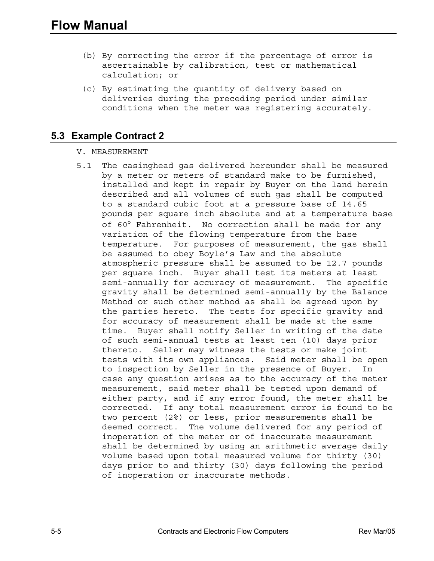- (b) By correcting the error if the percentage of error is ascertainable by calibration, test or mathematical calculation; or
- (c) By estimating the quantity of delivery based on deliveries during the preceding period under similar conditions when the meter was registering accurately.

#### **5.3 Example Contract 2**

#### V. MEASUREMENT

5.1 The casinghead gas delivered hereunder shall be measured by a meter or meters of standard make to be furnished, installed and kept in repair by Buyer on the land herein described and all volumes of such gas shall be computed to a standard cubic foot at a pressure base of 14.65 pounds per square inch absolute and at a temperature base of 60° Fahrenheit. No correction shall be made for any variation of the flowing temperature from the base temperature. For purposes of measurement, the gas shall be assumed to obey Boyle's Law and the absolute atmospheric pressure shall be assumed to be 12.7 pounds per square inch. Buyer shall test its meters at least semi-annually for accuracy of measurement. The specific gravity shall be determined semi-annually by the Balance Method or such other method as shall be agreed upon by the parties hereto. The tests for specific gravity and for accuracy of measurement shall be made at the same time. Buyer shall notify Seller in writing of the date of such semi-annual tests at least ten (10) days prior thereto. Seller may witness the tests or make joint tests with its own appliances. Said meter shall be open to inspection by Seller in the presence of Buyer. In case any question arises as to the accuracy of the meter measurement, said meter shall be tested upon demand of either party, and if any error found, the meter shall be corrected. If any total measurement error is found to be two percent (2%) or less, prior measurements shall be deemed correct. The volume delivered for any period of inoperation of the meter or of inaccurate measurement shall be determined by using an arithmetic average daily volume based upon total measured volume for thirty (30) days prior to and thirty (30) days following the period of inoperation or inaccurate methods.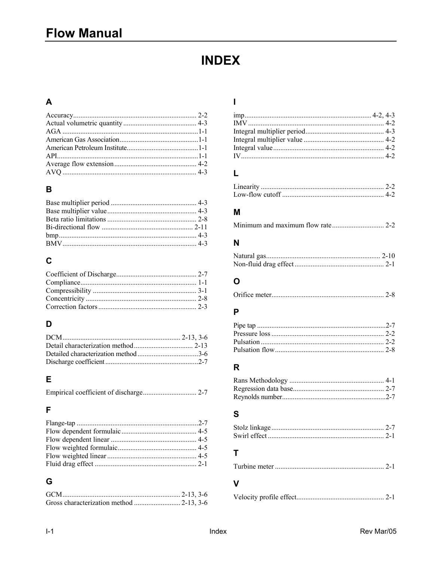# **INDEX**

#### $\mathbf{A}$

#### $\overline{B}$

# $\mathbf c$

#### D

#### $\mathsf E$

#### $\overline{F}$

#### $\mathbf G$

#### $\mathbf{I}$

# $\mathsf{L}% _{0}\left( \mathsf{L}_{0}\right) ^{T}=\mathsf{L}_{0}\left( \mathsf{L}_{0}\right) ^{T}$

#### M

#### $\mathsf{N}$

#### $\mathbf{o}$

|--|--|

#### $\mathsf{P}$

#### $\mathbf R$

#### $\mathbf{s}$

### $\mathbf T$

|--|--|--|

#### $\mathbf{V}$

|--|--|